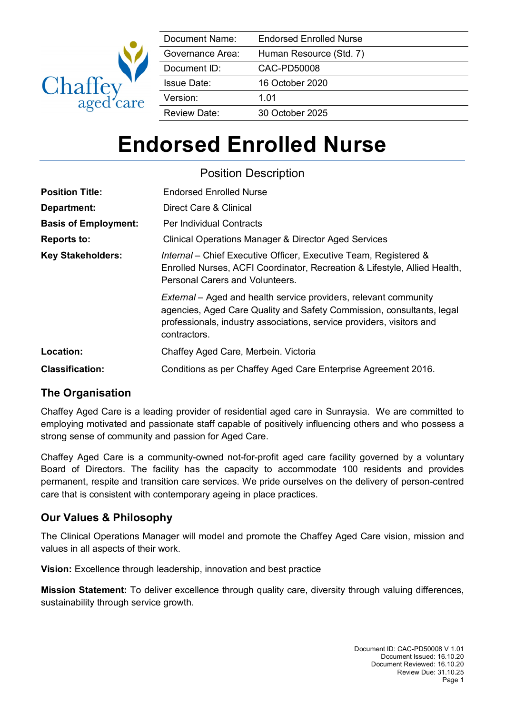

| Document Name:      | <b>Endorsed Enrolled Nurse</b> |
|---------------------|--------------------------------|
| Governance Area:    | Human Resource (Std. 7)        |
| Document ID:        | CAC-PD50008                    |
| <b>Issue Date:</b>  | 16 October 2020                |
| Version:            | 1.01                           |
| <b>Review Date:</b> | 30 October 2025                |

# **Endorsed Enrolled Nurse**

|                             | <b>Position Description</b>                                                                                                                                                                                                               |
|-----------------------------|-------------------------------------------------------------------------------------------------------------------------------------------------------------------------------------------------------------------------------------------|
| <b>Position Title:</b>      | <b>Endorsed Enrolled Nurse</b>                                                                                                                                                                                                            |
| Department:                 | Direct Care & Clinical                                                                                                                                                                                                                    |
| <b>Basis of Employment:</b> | Per Individual Contracts                                                                                                                                                                                                                  |
| <b>Reports to:</b>          | <b>Clinical Operations Manager &amp; Director Aged Services</b>                                                                                                                                                                           |
| <b>Key Stakeholders:</b>    | Internal – Chief Executive Officer, Executive Team, Registered &<br>Enrolled Nurses, ACFI Coordinator, Recreation & Lifestyle, Allied Health,<br>Personal Carers and Volunteers.                                                          |
|                             | <i>External</i> – Aged and health service providers, relevant community<br>agencies, Aged Care Quality and Safety Commission, consultants, legal<br>professionals, industry associations, service providers, visitors and<br>contractors. |
| Location:                   | Chaffey Aged Care, Merbein. Victoria                                                                                                                                                                                                      |
| <b>Classification:</b>      | Conditions as per Chaffey Aged Care Enterprise Agreement 2016.                                                                                                                                                                            |

# **The Organisation**

Chaffey Aged Care is a leading provider of residential aged care in Sunraysia. We are committed to employing motivated and passionate staff capable of positively influencing others and who possess a strong sense of community and passion for Aged Care.

Chaffey Aged Care is a community-owned not-for-profit aged care facility governed by a voluntary Board of Directors. The facility has the capacity to accommodate 100 residents and provides permanent, respite and transition care services. We pride ourselves on the delivery of person-centred care that is consistent with contemporary ageing in place practices.

# **Our Values & Philosophy**

The Clinical Operations Manager will model and promote the Chaffey Aged Care vision, mission and values in all aspects of their work.

**Vision:** Excellence through leadership, innovation and best practice

**Mission Statement:** To deliver excellence through quality care, diversity through valuing differences, sustainability through service growth.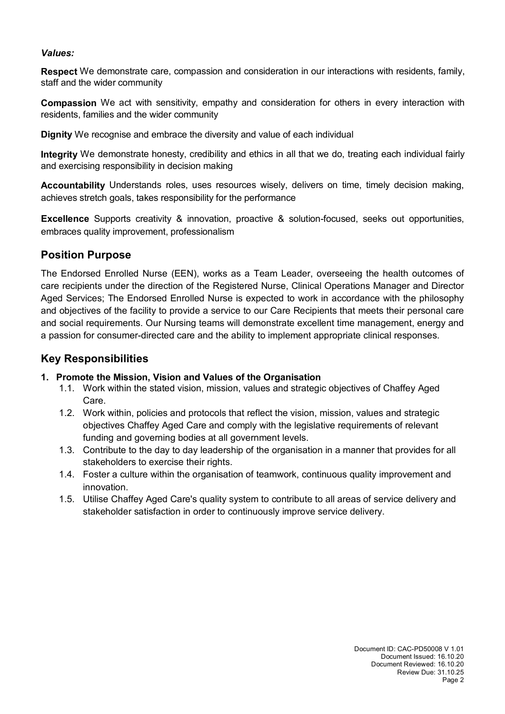#### *Values:*

**Respect** We demonstrate care, compassion and consideration in our interactions with residents, family, staff and the wider community

**Compassion** We act with sensitivity, empathy and consideration for others in every interaction with residents, families and the wider community

**Dignity** We recognise and embrace the diversity and value of each individual

**Integrity** We demonstrate honesty, credibility and ethics in all that we do, treating each individual fairly and exercising responsibility in decision making

**Accountability** Understands roles, uses resources wisely, delivers on time, timely decision making, achieves stretch goals, takes responsibility for the performance

**Excellence** Supports creativity & innovation, proactive & solution-focused, seeks out opportunities, embraces quality improvement, professionalism

#### **Position Purpose**

The Endorsed Enrolled Nurse (EEN), works as a Team Leader, overseeing the health outcomes of care recipients under the direction of the Registered Nurse, Clinical Operations Manager and Director Aged Services; The Endorsed Enrolled Nurse is expected to work in accordance with the philosophy and objectives of the facility to provide a service to our Care Recipients that meets their personal care and social requirements. Our Nursing teams will demonstrate excellent time management, energy and a passion for consumer-directed care and the ability to implement appropriate clinical responses.

## **Key Responsibilities**

#### **1. Promote the Mission, Vision and Values of the Organisation**

- 1.1. Work within the stated vision, mission, values and strategic objectives of Chaffey Aged Care.
- 1.2. Work within, policies and protocols that reflect the vision, mission, values and strategic objectives Chaffey Aged Care and comply with the legislative requirements of relevant funding and governing bodies at all government levels.
- 1.3. Contribute to the day to day leadership of the organisation in a manner that provides for all stakeholders to exercise their rights.
- 1.4. Foster a culture within the organisation of teamwork, continuous quality improvement and innovation.
- 1.5. Utilise Chaffey Aged Care's quality system to contribute to all areas of service delivery and stakeholder satisfaction in order to continuously improve service delivery.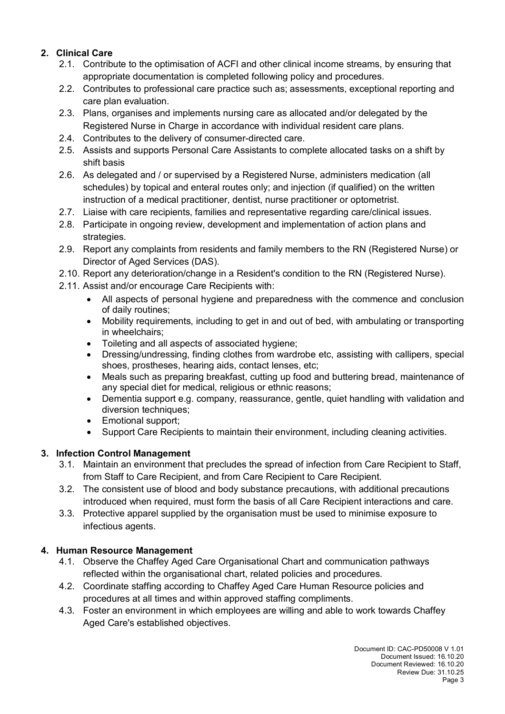#### **2. Clinical Care**

- 2.1. Contribute to the optimisation of ACFI and other clinical income streams, by ensuring that appropriate documentation is completed following policy and procedures.
- 2.2. Contributes to professional care practice such as; assessments, exceptional reporting and care plan evaluation.
- 2.3. Plans, organises and implements nursing care as allocated and/or delegated by the Registered Nurse in Charge in accordance with individual resident care plans.
- 2.4. Contributes to the delivery of consumer-directed care.
- 2.5. Assists and supports Personal Care Assistants to complete allocated tasks on a shift by shift basis
- 2.6. As delegated and / or supervised by a Registered Nurse, administers medication (all schedules) by topical and enteral routes only; and injection (if qualified) on the written instruction of a medical practitioner, dentist, nurse practitioner or optometrist.
- 2.7. Liaise with care recipients, families and representative regarding care/clinical issues.
- 2.8. Participate in ongoing review, development and implementation of action plans and strategies.
- 2.9. Report any complaints from residents and family members to the RN (Registered Nurse) or Director of Aged Services (DAS).
- 2.10. Report any deterioration/change in a Resident's condition to the RN (Registered Nurse).
- 2.11. Assist and/or encourage Care Recipients with:
	- All aspects of personal hygiene and preparedness with the commence and conclusion of daily routines;
	- Mobility requirements, including to get in and out of bed, with ambulating or transporting in wheelchairs;
	- Toileting and all aspects of associated hygiene;
	- Dressing/undressing, finding clothes from wardrobe etc, assisting with callipers, special shoes, prostheses, hearing aids, contact lenses, etc;
	- Meals such as preparing breakfast, cutting up food and buttering bread, maintenance of any special diet for medical, religious or ethnic reasons;
	- Dementia support e.g. company, reassurance, gentle, quiet handling with validation and diversion techniques;
	- Emotional support;
	- Support Care Recipients to maintain their environment, including cleaning activities.

#### **3. Infection Control Management**

- 3.1. Maintain an environment that precludes the spread of infection from Care Recipient to Staff, from Staff to Care Recipient, and from Care Recipient to Care Recipient.
- 3.2. The consistent use of blood and body substance precautions, with additional precautions introduced when required, must form the basis of all Care Recipient interactions and care.
- 3.3. Protective apparel supplied by the organisation must be used to minimise exposure to infectious agents.

#### **4. Human Resource Management**

- 4.1. Observe the Chaffey Aged Care Organisational Chart and communication pathways reflected within the organisational chart, related policies and procedures.
- 4.2. Coordinate staffing according to Chaffey Aged Care Human Resource policies and procedures at all times and within approved staffing compliments.
- 4.3. Foster an environment in which employees are willing and able to work towards Chaffey Aged Care's established objectives.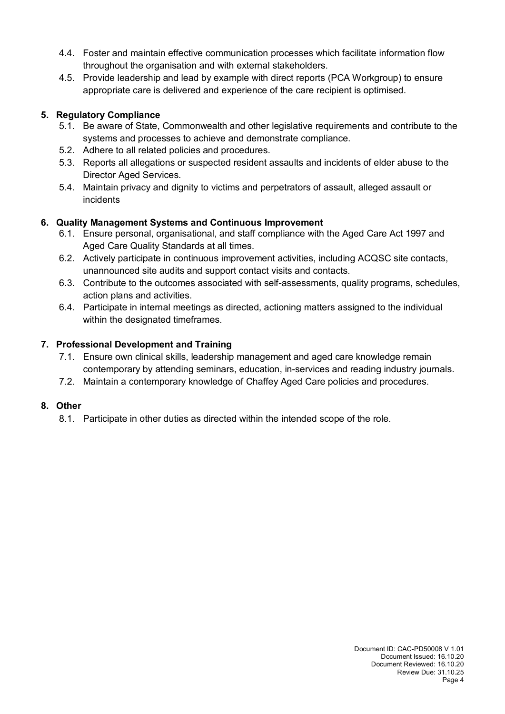- 4.4. Foster and maintain effective communication processes which facilitate information flow throughout the organisation and with external stakeholders.
- 4.5. Provide leadership and lead by example with direct reports (PCA Workgroup) to ensure appropriate care is delivered and experience of the care recipient is optimised.

### **5. Regulatory Compliance**

- 5.1. Be aware of State, Commonwealth and other legislative requirements and contribute to the systems and processes to achieve and demonstrate compliance.
- 5.2. Adhere to all related policies and procedures.
- 5.3. Reports all allegations or suspected resident assaults and incidents of elder abuse to the Director Aged Services.
- 5.4. Maintain privacy and dignity to victims and perpetrators of assault, alleged assault or incidents

## **6. Quality Management Systems and Continuous Improvement**

- 6.1. Ensure personal, organisational, and staff compliance with the Aged Care Act 1997 and Aged Care Quality Standards at all times.
- 6.2. Actively participate in continuous improvement activities, including ACQSC site contacts, unannounced site audits and support contact visits and contacts.
- 6.3. Contribute to the outcomes associated with self-assessments, quality programs, schedules, action plans and activities.
- 6.4. Participate in internal meetings as directed, actioning matters assigned to the individual within the designated timeframes.

## **7. Professional Development and Training**

- 7.1. Ensure own clinical skills, leadership management and aged care knowledge remain contemporary by attending seminars, education, in-services and reading industry journals.
- 7.2. Maintain a contemporary knowledge of Chaffey Aged Care policies and procedures.

## **8. Other**

8.1. Participate in other duties as directed within the intended scope of the role.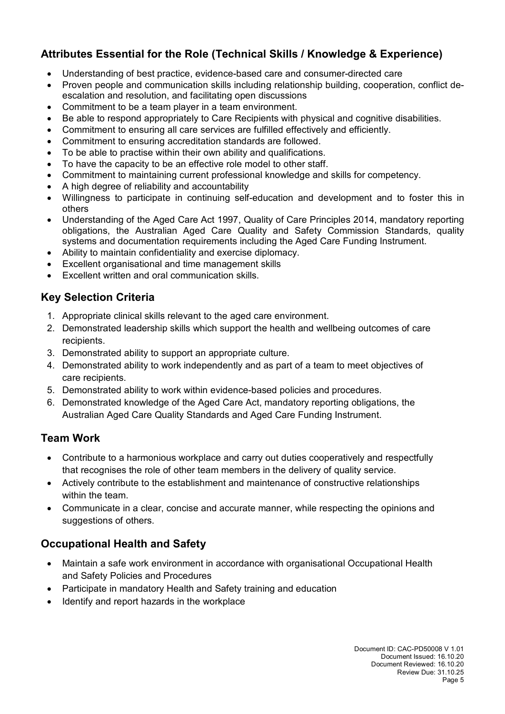# **Attributes Essential for the Role (Technical Skills / Knowledge & Experience)**

- Understanding of best practice, evidence-based care and consumer-directed care
- Proven people and communication skills including relationship building, cooperation, conflict deescalation and resolution, and facilitating open discussions
- Commitment to be a team player in a team environment.
- Be able to respond appropriately to Care Recipients with physical and cognitive disabilities.
- Commitment to ensuring all care services are fulfilled effectively and efficiently.
- Commitment to ensuring accreditation standards are followed.
- To be able to practise within their own ability and qualifications.
- To have the capacity to be an effective role model to other staff.
- Commitment to maintaining current professional knowledge and skills for competency.
- A high degree of reliability and accountability
- Willingness to participate in continuing self-education and development and to foster this in others
- Understanding of the Aged Care Act 1997, Quality of Care Principles 2014, mandatory reporting obligations, the Australian Aged Care Quality and Safety Commission Standards, quality systems and documentation requirements including the Aged Care Funding Instrument.
- Ability to maintain confidentiality and exercise diplomacy.
- Excellent organisational and time management skills
- Excellent written and oral communication skills.

# **Key Selection Criteria**

- 1. Appropriate clinical skills relevant to the aged care environment.
- 2. Demonstrated leadership skills which support the health and wellbeing outcomes of care recipients.
- 3. Demonstrated ability to support an appropriate culture.
- 4. Demonstrated ability to work independently and as part of a team to meet objectives of care recipients.
- 5. Demonstrated ability to work within evidence-based policies and procedures.
- 6. Demonstrated knowledge of the Aged Care Act, mandatory reporting obligations, the Australian Aged Care Quality Standards and Aged Care Funding Instrument.

# **Team Work**

- Contribute to a harmonious workplace and carry out duties cooperatively and respectfully that recognises the role of other team members in the delivery of quality service.
- Actively contribute to the establishment and maintenance of constructive relationships within the team.
- Communicate in a clear, concise and accurate manner, while respecting the opinions and suggestions of others.

# **Occupational Health and Safety**

- Maintain a safe work environment in accordance with organisational Occupational Health and Safety Policies and Procedures
- Participate in mandatory Health and Safety training and education
- Identify and report hazards in the workplace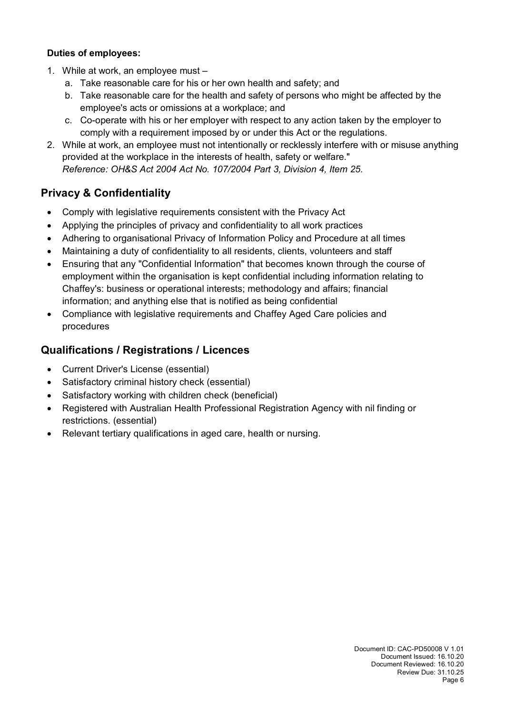#### **Duties of employees:**

- 1. While at work, an employee must
	- a. Take reasonable care for his or her own health and safety; and
	- b. Take reasonable care for the health and safety of persons who might be affected by the employee's acts or omissions at a workplace; and
	- c. Co-operate with his or her employer with respect to any action taken by the employer to comply with a requirement imposed by or under this Act or the regulations.
- 2. While at work, an employee must not intentionally or recklessly interfere with or misuse anything provided at the workplace in the interests of health, safety or welfare." *Reference: OH&S Act 2004 Act No. 107/2004 Part 3, Division 4, Item 25.*

## **Privacy & Confidentiality**

- Comply with legislative requirements consistent with the Privacy Act
- Applying the principles of privacy and confidentiality to all work practices
- Adhering to organisational Privacy of Information Policy and Procedure at all times
- Maintaining a duty of confidentiality to all residents, clients, volunteers and staff
- Ensuring that any "Confidential Information" that becomes known through the course of employment within the organisation is kept confidential including information relating to Chaffey's: business or operational interests; methodology and affairs; financial information; and anything else that is notified as being confidential
- Compliance with legislative requirements and Chaffey Aged Care policies and procedures

## **Qualifications / Registrations / Licences**

- Current Driver's License (essential)
- Satisfactory criminal history check (essential)
- Satisfactory working with children check (beneficial)
- Registered with Australian Health Professional Registration Agency with nil finding or restrictions. (essential)
- Relevant tertiary qualifications in aged care, health or nursing.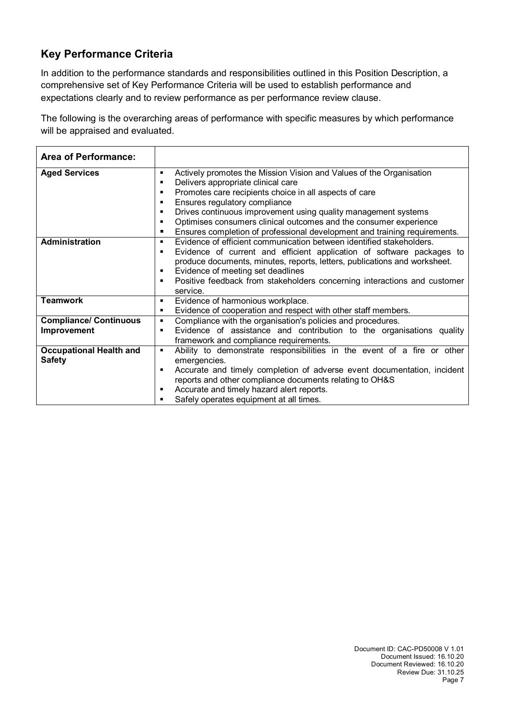# **Key Performance Criteria**

In addition to the performance standards and responsibilities outlined in this Position Description, a comprehensive set of Key Performance Criteria will be used to establish performance and expectations clearly and to review performance as per performance review clause.

The following is the overarching areas of performance with specific measures by which performance will be appraised and evaluated.

| <b>Area of Performance:</b>                     |                                                                                                                                                                                                                                                                                                                                                                                                                                                        |
|-------------------------------------------------|--------------------------------------------------------------------------------------------------------------------------------------------------------------------------------------------------------------------------------------------------------------------------------------------------------------------------------------------------------------------------------------------------------------------------------------------------------|
| <b>Aged Services</b>                            | Actively promotes the Mission Vision and Values of the Organisation<br>٠<br>Delivers appropriate clinical care<br>٠<br>Promotes care recipients choice in all aspects of care<br>٠<br>Ensures regulatory compliance<br>Drives continuous improvement using quality management systems<br>٠<br>Optimises consumers clinical outcomes and the consumer experience<br>٠<br>Ensures completion of professional development and training requirements.<br>٠ |
| <b>Administration</b>                           | Evidence of efficient communication between identified stakeholders.<br>Evidence of current and efficient application of software packages to<br>٠<br>produce documents, minutes, reports, letters, publications and worksheet.<br>Evidence of meeting set deadlines<br>٠<br>Positive feedback from stakeholders concerning interactions and customer<br>٠<br>service.                                                                                 |
| <b>Teamwork</b>                                 | Evidence of harmonious workplace.<br>٠<br>Evidence of cooperation and respect with other staff members.<br>٠                                                                                                                                                                                                                                                                                                                                           |
| <b>Compliance/ Continuous</b><br>Improvement    | Compliance with the organisation's policies and procedures.<br>Evidence of assistance and contribution to the organisations quality<br>п<br>framework and compliance requirements.                                                                                                                                                                                                                                                                     |
| <b>Occupational Health and</b><br><b>Safety</b> | Ability to demonstrate responsibilities in the event of a fire or other<br>٠<br>emergencies.<br>Accurate and timely completion of adverse event documentation, incident<br>п<br>reports and other compliance documents relating to OH&S<br>Accurate and timely hazard alert reports.<br>п<br>Safely operates equipment at all times.                                                                                                                   |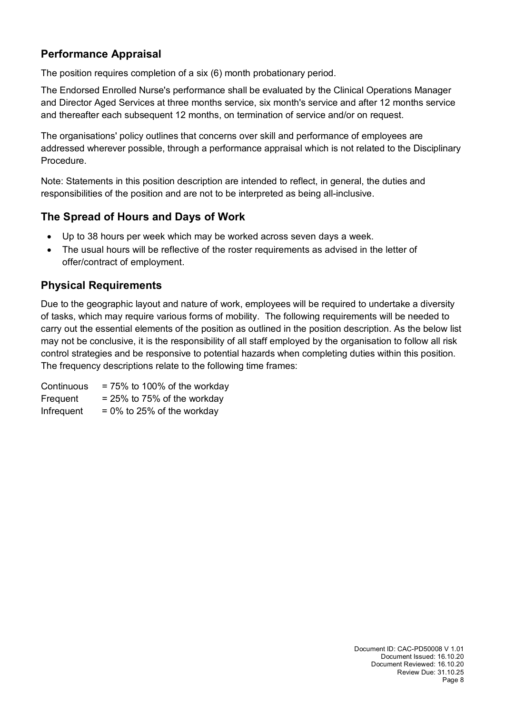# **Performance Appraisal**

The position requires completion of a six (6) month probationary period.

The Endorsed Enrolled Nurse's performance shall be evaluated by the Clinical Operations Manager and Director Aged Services at three months service, six month's service and after 12 months service and thereafter each subsequent 12 months, on termination of service and/or on request.

The organisations' policy outlines that concerns over skill and performance of employees are addressed wherever possible, through a performance appraisal which is not related to the Disciplinary Procedure.

Note: Statements in this position description are intended to reflect, in general, the duties and responsibilities of the position and are not to be interpreted as being all-inclusive.

## **The Spread of Hours and Days of Work**

- Up to 38 hours per week which may be worked across seven days a week.
- The usual hours will be reflective of the roster requirements as advised in the letter of offer/contract of employment.

## **Physical Requirements**

Due to the geographic layout and nature of work, employees will be required to undertake a diversity of tasks, which may require various forms of mobility. The following requirements will be needed to carry out the essential elements of the position as outlined in the position description. As the below list may not be conclusive, it is the responsibility of all staff employed by the organisation to follow all risk control strategies and be responsive to potential hazards when completing duties within this position. The frequency descriptions relate to the following time frames:

Continuous  $= 75\%$  to 100% of the workday Frequent  $= 25\%$  to 75% of the workday Infrequent  $= 0\%$  to 25% of the workday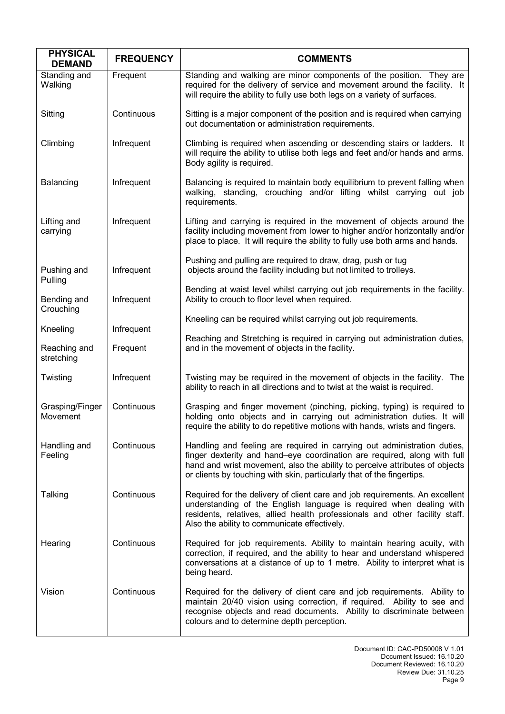| <b>PHYSICAL</b><br><b>DEMAND</b> | <b>FREQUENCY</b> | <b>COMMENTS</b>                                                                                                                                                                                                                                                                                               |  |
|----------------------------------|------------------|---------------------------------------------------------------------------------------------------------------------------------------------------------------------------------------------------------------------------------------------------------------------------------------------------------------|--|
| Standing and<br>Walking          | Frequent         | Standing and walking are minor components of the position. They are<br>required for the delivery of service and movement around the facility. It<br>will require the ability to fully use both legs on a variety of surfaces.                                                                                 |  |
| Sitting                          | Continuous       | Sitting is a major component of the position and is required when carrying<br>out documentation or administration requirements.                                                                                                                                                                               |  |
| Climbing                         | Infrequent       | Climbing is required when ascending or descending stairs or ladders. It<br>will require the ability to utilise both legs and feet and/or hands and arms.<br>Body agility is required.                                                                                                                         |  |
| Balancing                        | Infrequent       | Balancing is required to maintain body equilibrium to prevent falling when<br>walking, standing, crouching and/or lifting whilst carrying out job<br>requirements.                                                                                                                                            |  |
| Lifting and<br>carrying          | Infrequent       | Lifting and carrying is required in the movement of objects around the<br>facility including movement from lower to higher and/or horizontally and/or<br>place to place. It will require the ability to fully use both arms and hands.                                                                        |  |
| Pushing and<br>Pulling           | Infrequent       | Pushing and pulling are required to draw, drag, push or tug<br>objects around the facility including but not limited to trolleys.                                                                                                                                                                             |  |
| Bending and<br>Crouching         | Infrequent       | Bending at waist level whilst carrying out job requirements in the facility.<br>Ability to crouch to floor level when required.                                                                                                                                                                               |  |
| Kneeling                         | Infrequent       | Kneeling can be required whilst carrying out job requirements.                                                                                                                                                                                                                                                |  |
| Reaching and<br>stretching       | Frequent         | Reaching and Stretching is required in carrying out administration duties,<br>and in the movement of objects in the facility.                                                                                                                                                                                 |  |
| Twisting                         | Infrequent       | Twisting may be required in the movement of objects in the facility. The<br>ability to reach in all directions and to twist at the waist is required.                                                                                                                                                         |  |
| Grasping/Finger<br>Movement      | Continuous       | Grasping and finger movement (pinching, picking, typing) is required to<br>holding onto objects and in carrying out administration duties. It will<br>require the ability to do repetitive motions with hands, wrists and fingers.                                                                            |  |
| Handling and<br>Feeling          | Continuous       | Handling and feeling are required in carrying out administration duties,<br>finger dexterity and hand-eye coordination are required, along with full<br>hand and wrist movement, also the ability to perceive attributes of objects<br>or clients by touching with skin, particularly that of the fingertips. |  |
| Talking                          | Continuous       | Required for the delivery of client care and job requirements. An excellent<br>understanding of the English language is required when dealing with<br>residents, relatives, allied health professionals and other facility staff.<br>Also the ability to communicate effectively.                             |  |
| Hearing                          | Continuous       | Required for job requirements. Ability to maintain hearing acuity, with<br>correction, if required, and the ability to hear and understand whispered<br>conversations at a distance of up to 1 metre. Ability to interpret what is<br>being heard.                                                            |  |
| Vision                           | Continuous       | Required for the delivery of client care and job requirements. Ability to<br>maintain 20/40 vision using correction, if required. Ability to see and<br>recognise objects and read documents. Ability to discriminate between<br>colours and to determine depth perception.                                   |  |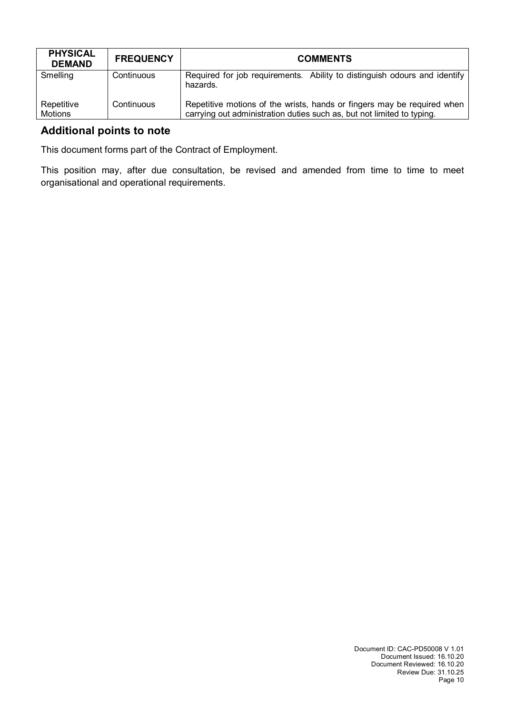| <b>PHYSICAL</b><br><b>DEMAND</b> | <b>FREQUENCY</b> | <b>COMMENTS</b>                                                                                                                                   |
|----------------------------------|------------------|---------------------------------------------------------------------------------------------------------------------------------------------------|
| Smelling                         | Continuous       | Required for job requirements. Ability to distinguish odours and identify<br>hazards.                                                             |
| Repetitive<br>Motions            | Continuous       | Repetitive motions of the wrists, hands or fingers may be required when<br>carrying out administration duties such as, but not limited to typing. |

## **Additional points to note**

This document forms part of the Contract of Employment.

This position may, after due consultation, be revised and amended from time to time to meet organisational and operational requirements.